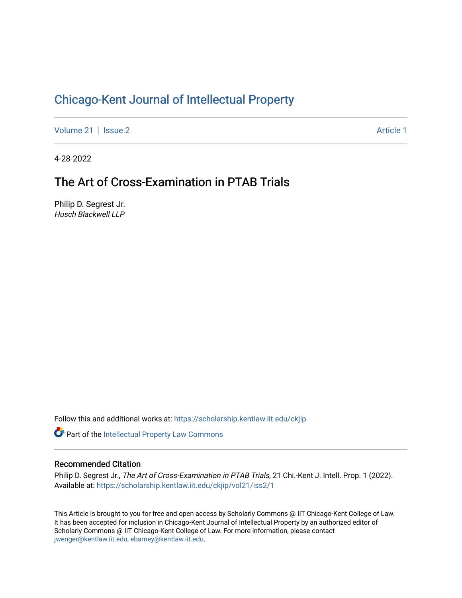## [Chicago-Kent Journal of Intellectual Property](https://scholarship.kentlaw.iit.edu/ckjip)

[Volume 21](https://scholarship.kentlaw.iit.edu/ckjip/vol21) | [Issue 2](https://scholarship.kentlaw.iit.edu/ckjip/vol21/iss2) Article 1

4-28-2022

## The Art of Cross-Examination in PTAB Trials

Philip D. Segrest Jr. Husch Blackwell LLP

Follow this and additional works at: [https://scholarship.kentlaw.iit.edu/ckjip](https://scholarship.kentlaw.iit.edu/ckjip?utm_source=scholarship.kentlaw.iit.edu%2Fckjip%2Fvol21%2Fiss2%2F1&utm_medium=PDF&utm_campaign=PDFCoverPages) 

Part of the [Intellectual Property Law Commons](http://network.bepress.com/hgg/discipline/896?utm_source=scholarship.kentlaw.iit.edu%2Fckjip%2Fvol21%2Fiss2%2F1&utm_medium=PDF&utm_campaign=PDFCoverPages) 

#### Recommended Citation

Philip D. Segrest Jr., The Art of Cross-Examination in PTAB Trials, 21 Chi.-Kent J. Intell. Prop. 1 (2022). Available at: [https://scholarship.kentlaw.iit.edu/ckjip/vol21/iss2/1](https://scholarship.kentlaw.iit.edu/ckjip/vol21/iss2/1?utm_source=scholarship.kentlaw.iit.edu%2Fckjip%2Fvol21%2Fiss2%2F1&utm_medium=PDF&utm_campaign=PDFCoverPages) 

This Article is brought to you for free and open access by Scholarly Commons @ IIT Chicago-Kent College of Law. It has been accepted for inclusion in Chicago-Kent Journal of Intellectual Property by an authorized editor of Scholarly Commons @ IIT Chicago-Kent College of Law. For more information, please contact [jwenger@kentlaw.iit.edu, ebarney@kentlaw.iit.edu.](mailto:jwenger@kentlaw.iit.edu,%20ebarney@kentlaw.iit.edu)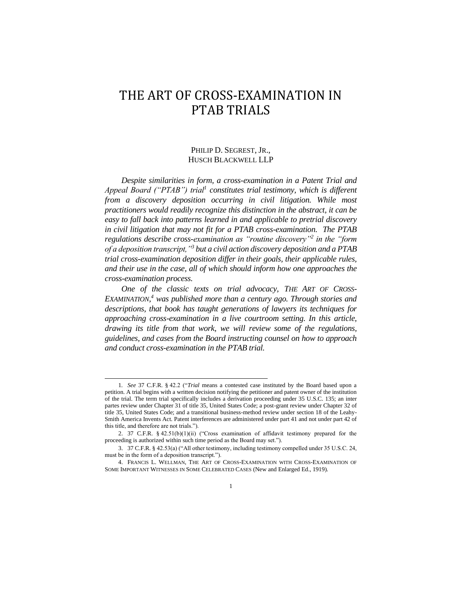# THE ART OF CROSS-EXAMINATION IN PTAB TRIALS

### PHILIP D. SEGREST, JR., HUSCH BLACKWELL LLP

*Despite similarities in form, a cross-examination in a Patent Trial and Appeal Board ("PTAB") trial<sup>1</sup> constitutes trial testimony, which is different from a discovery deposition occurring in civil litigation. While most practitioners would readily recognize this distinction in the abstract, it can be easy to fall back into patterns learned in and applicable to pretrial discovery in civil litigation that may not fit for a PTAB cross-examination. The PTAB regulations describe cross-examination as "routine discovery"<sup>2</sup> in the "form of a deposition transcript,"<sup>3</sup> but a civil action discovery deposition and a PTAB trial cross-examination deposition differ in their goals, their applicable rules, and their use in the case, all of which should inform how one approaches the cross-examination process.*

*One of the classic texts on trial advocacy, THE ART OF CROSS-EXAMINATION, <sup>4</sup> was published more than a century ago. Through stories and descriptions, that book has taught generations of lawyers its techniques for approaching cross-examination in a live courtroom setting. In this article, drawing its title from that work, we will review some of the regulations, guidelines, and cases from the Board instructing counsel on how to approach and conduct cross-examination in the PTAB trial.*

<sup>1</sup>*. See* 37 C.F.R. § 42.2 ("*Trial* means a contested case instituted by the Board based upon a petition. A trial begins with a written decision notifying the petitioner and patent owner of the institution of the trial. The term trial specifically includes a derivation proceeding under 35 U.S.C. 135; an inter partes review under Chapter 31 of title 35, United States Code; a post-grant review under Chapter 32 of title 35, United States Code; and a transitional business-method review under section 18 of the Leahy-Smith America Invents Act. Patent interferences are administered under part 41 and not under part 42 of this title, and therefore are not trials.").

<sup>2.</sup> 37 C.F.R. § 42.51(b)(1)(ii) ("Cross examination of affidavit testimony prepared for the proceeding is authorized within such time period as the Board may set.").

<sup>3.</sup> 37 C.F.R. § 42.53(a) ("All other testimony, including testimony compelled under 35 U.S.C. 24, must be in the form of a deposition transcript.").

<sup>4.</sup> FRANCIS L. WELLMAN, THE ART OF CROSS-EXAMINATION WITH CROSS-EXAMINATION OF SOME IMPORTANT WITNESSES IN SOME CELEBRATED CASES (New and Enlarged Ed., 1919).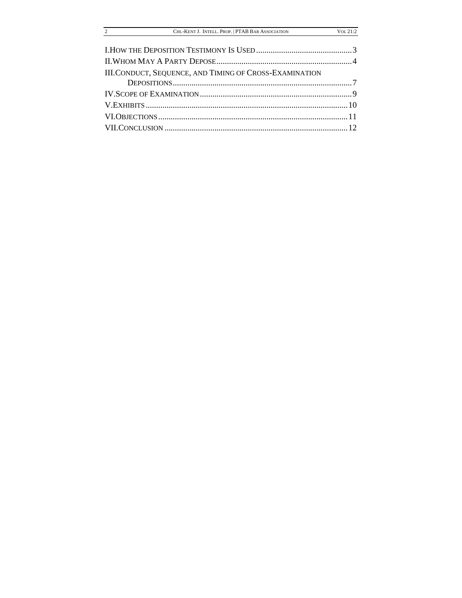| CHI.-KENT J. INTELL. PROP.   PTAB BAR ASSOCIATION |  |
|---------------------------------------------------|--|
|                                                   |  |

 $Vol. 21:2$ 

| III.CONDUCT, SEQUENCE, AND TIMING OF CROSS-EXAMINATION |  |
|--------------------------------------------------------|--|
|                                                        |  |
|                                                        |  |
|                                                        |  |
|                                                        |  |
|                                                        |  |

 $\frac{2}{2}$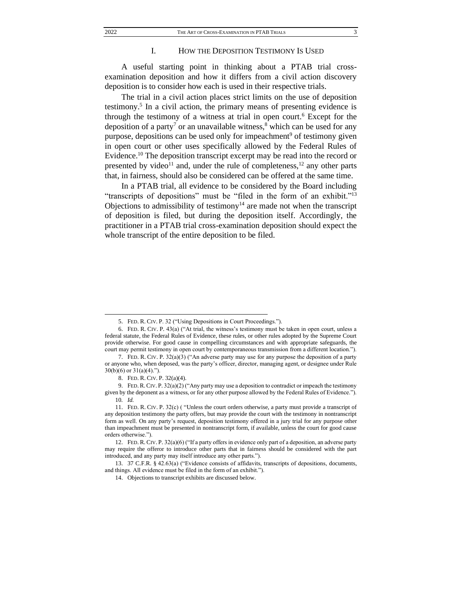#### I. HOW THE DEPOSITION TESTIMONY IS USED

A useful starting point in thinking about a PTAB trial crossexamination deposition and how it differs from a civil action discovery deposition is to consider how each is used in their respective trials.

The trial in a civil action places strict limits on the use of deposition testimony.<sup>5</sup> In a civil action, the primary means of presenting evidence is through the testimony of a witness at trial in open court.<sup>6</sup> Except for the deposition of a party<sup>7</sup> or an unavailable witness,<sup>8</sup> which can be used for any purpose, depositions can be used only for impeachment<sup>9</sup> of testimony given in open court or other uses specifically allowed by the Federal Rules of Evidence.<sup>10</sup> The deposition transcript excerpt may be read into the record or presented by video<sup>11</sup> and, under the rule of completeness,<sup>12</sup> any other parts that, in fairness, should also be considered can be offered at the same time.

In a PTAB trial, all evidence to be considered by the Board including "transcripts of depositions" must be "filed in the form of an exhibit."<sup>13</sup> Objections to admissibility of testimony<sup>14</sup> are made not when the transcript of deposition is filed, but during the deposition itself. Accordingly, the practitioner in a PTAB trial cross-examination deposition should expect the whole transcript of the entire deposition to be filed.

<sup>5.</sup> FED. R. CIV. P. 32 ("Using Depositions in Court Proceedings.").

<sup>6.</sup> FED. R. CIV. P. 43(a) ("At trial, the witness's testimony must be taken in open court, unless a federal statute, the Federal Rules of Evidence, these rules, or other rules adopted by the Supreme Court provide otherwise. For good cause in compelling circumstances and with appropriate safeguards, the court may permit testimony in open court by contemporaneous transmission from a different location.").

<sup>7.</sup> FED. R. CIV. P. 32(a)(3) ("An adverse party may use for any purpose the deposition of a party or anyone who, when deposed, was the party's officer, director, managing agent, or designee under Rule  $30(b)(6)$  or  $31(a)(4)$ .").

<sup>8.</sup> FED. R. CIV. P. 32(a)(4).

<sup>9.</sup> FED. R.CIV. P. 32(a)(2) ("Any party may use a deposition to contradict or impeach the testimony given by the deponent as a witness, or for any other purpose allowed by the Federal Rules of Evidence."). 10*. Id.*

<sup>11.</sup> FED. R. CIV. P. 32(c) ( "Unless the court orders otherwise, a party must provide a transcript of any deposition testimony the party offers, but may provide the court with the testimony in nontranscript form as well. On any party's request, deposition testimony offered in a jury trial for any purpose other than impeachment must be presented in nontranscript form, if available, unless the court for good cause orders otherwise.").

<sup>12.</sup> FED. R. CIV. P. 32(a)(6) ("If a party offers in evidence only part of a deposition, an adverse party may require the offeror to introduce other parts that in fairness should be considered with the part introduced, and any party may itself introduce any other parts.").

<sup>13.</sup> 37 C.F.R. § 42.63(a) ("Evidence consists of affidavits, transcripts of depositions, documents, and things. All evidence must be filed in the form of an exhibit.").

<sup>14.</sup> Objections to transcript exhibits are discussed below.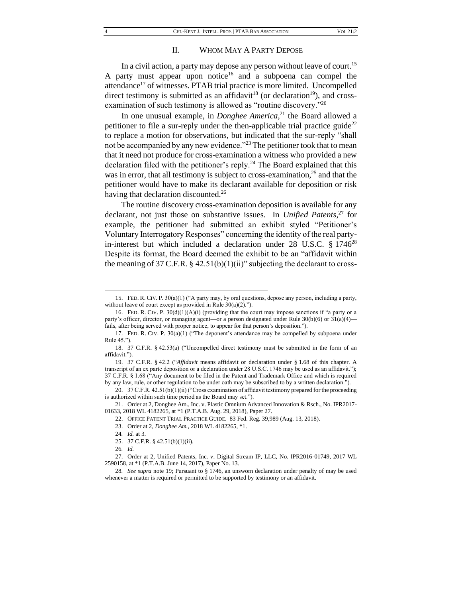#### <span id="page-4-0"></span>II. WHOM MAY A PARTY DEPOSE

In a civil action, a party may depose any person without leave of court.<sup>15</sup> A party must appear upon notice<sup>16</sup> and a subpoena can compel the attendance<sup>17</sup> of witnesses. PTAB trial practice is more limited. Uncompelled direct testimony is submitted as an affidavit<sup>18</sup> (or declaration<sup>19</sup>), and crossexamination of such testimony is allowed as "routine discovery."<sup>20</sup>

In one unusual example, in *Donghee America*, <sup>21</sup> the Board allowed a petitioner to file a sur-reply under the then-applicable trial practice guide<sup>22</sup> to replace a motion for observations, but indicated that the sur-reply "shall not be accompanied by any new evidence."<sup>23</sup> The petitioner took that to mean that it need not produce for cross-examination a witness who provided a new declaration filed with the petitioner's reply.<sup>24</sup> The Board explained that this was in error, that all testimony is subject to cross-examination, $^{25}$  and that the petitioner would have to make its declarant available for deposition or risk having that declaration discounted.<sup>26</sup>

The routine discovery cross-examination deposition is available for any declarant, not just those on substantive issues. In *Unified Patents,*<sup>27</sup> for example, the petitioner had submitted an exhibit styled "Petitioner's Voluntary Interrogatory Responses" concerning the identity of the real partyin-interest but which included a declaration under 28 U.S.C. § 1746<sup>28</sup> Despite its format, the Board deemed the exhibit to be an "affidavit within the meaning of 37 C.F.R.  $\S$  42.51(b)(1)(ii)" subjecting the declarant to cross-

<sup>15.</sup> FED. R. CIV. P. 30(a)(1) ("A party may, by oral questions, depose any person, including a party, without leave of court except as provided in Rule 30(a)(2).").

<sup>16.</sup> FED. R. CIV. P.  $30(d)(1)(A)(i)$  (providing that the court may impose sanctions if "a party or a party's officer, director, or managing agent—or a person designated under Rule 30(b)(6) or 31(a)(4) fails, after being served with proper notice, to appear for that person's deposition.").

<sup>17.</sup> FED. R. CIV. P. 30(a)(1) ("The deponent's attendance may be compelled by subpoena under Rule 45.").

<sup>18.</sup> 37 C.F.R. § 42.53(a) ("Uncompelled direct testimony must be submitted in the form of an affidavit.").

<sup>19.</sup> 37 C.F.R. § 42.2 ("*Affidavit* means affidavit or declaration under § 1.68 of this chapter. A transcript of an ex parte deposition or a declaration under 28 U.S.C. 1746 may be used as an affidavit."); 37 C.F.R. § 1.68 ("Any document to be filed in the Patent and Trademark Office and which is required by any law, rule, or other regulation to be under oath may be subscribed to by a written declaration.").

<sup>20. 37</sup> C.F.R. 42.51(b)(1)(ii) ("Cross examination of affidavit testimony prepared for the proceeding is authorized within such time period as the Board may set.").

<sup>21.</sup> Order at 2, Donghee Am., Inc. v. Plastic Omnium Advanced Innovation & Rsch., No. IPR2017- 01633, 2018 WL 4182265, at \*1 (P.T.A.B. Aug. 29, 2018), Paper 27.

<sup>22.</sup> OFFICE PATENT TRIAL PRACTICE GUIDE. 83 Fed. Reg. 39,989 (Aug. 13, 2018).

<sup>23.</sup> Order at 2, *Donghee Am.,* 2018 WL 4182265, \*1.

<sup>24</sup>*. Id.* at 3.

<sup>25.</sup> 37 C.F.R. § 42.51(b)(1)(ii).

<sup>26</sup>*. Id.*

<sup>27.</sup> Order at 2, Unified Patents, Inc. v. Digital Stream IP, LLC, No. IPR2016-01749, 2017 WL 2590158, at \*1 (P.T.A.B. June 14, 2017), Paper No. 13.

<sup>28</sup>*. See supra* not[e 19;](#page-4-0) Pursuant to § 1746, an unsworn declaration under penalty of may be used whenever a matter is required or permitted to be supported by testimony or an affidavit.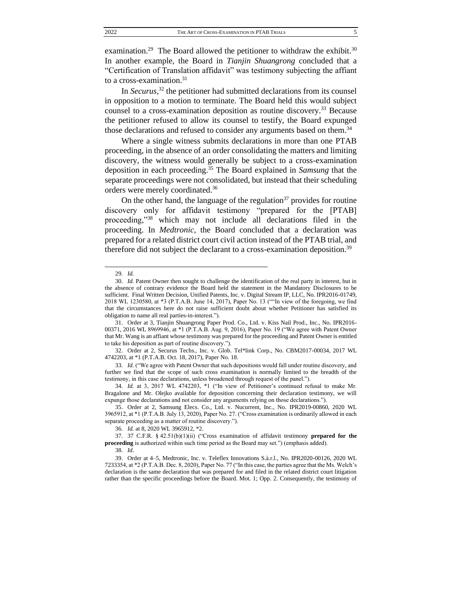examination.<sup>29</sup> The Board allowed the petitioner to withdraw the exhibit.<sup>30</sup> In another example, the Board in *Tianjin Shuangrong* concluded that a "Certification of Translation affidavit" was testimony subjecting the affiant to a cross-examination.<sup>31</sup>

<span id="page-5-0"></span>In *Securus,*<sup>32</sup> the petitioner had submitted declarations from its counsel in opposition to a motion to terminate. The Board held this would subject counsel to a cross-examination deposition as routine discovery.<sup>33</sup> Because the petitioner refused to allow its counsel to testify, the Board expunged those declarations and refused to consider any arguments based on them.<sup>34</sup>

Where a single witness submits declarations in more than one PTAB proceeding, in the absence of an order consolidating the matters and limiting discovery, the witness would generally be subject to a cross-examination deposition in each proceeding.<sup>35</sup> The Board explained in *Samsung* that the separate proceedings were not consolidated, but instead that their scheduling orders were merely coordinated.<sup>36</sup>

On the other hand, the language of the regulation<sup>37</sup> provides for routine discovery only for affidavit testimony "prepared for the [PTAB] proceeding,"<sup>38</sup> which may not include all declarations filed in the proceeding. In *Medtronic,* the Board concluded that a declaration was prepared for a related district court civil action instead of the PTAB trial, and therefore did not subject the declarant to a cross-examination deposition.<sup>39</sup>

<sup>29</sup>*. Id.*

<sup>30</sup>*. Id.* Patent Owner then sought to challenge the identification of the real party in interest, but in the absence of contrary evidence the Board held the statement in the Mandatory Disclosures to be sufficient. Final Written Decision, Unified Patents, Inc. v. Digital Stream IP, LLC, No. IPR2016-01749, 2018 WL 1230580, at \*3 (P.T.A.B. June 14, 2017), Paper No. 13 (""In view of the foregoing, we find that the circumstances here do not raise sufficient doubt about whether Petitioner has satisfied its obligation to name all real parties-in-interest.").

<sup>31.</sup> Order at 3, Tianjin Shuangrong Paper Prod. Co., Ltd. v. Kiss Nail Prod., Inc., No. IPR2016- 00371, 2016 WL 8969946, at \*1 (P.T.A.B. Aug. 9, 2016), Paper No. 19 ("We agree with Patent Owner that Mr. Wang is an affiant whose testimony was prepared for the proceeding and Patent Owner is entitled to take his deposition as part of routine discovery.").

<sup>32.</sup> Order at 2, Securus Techs., Inc. v. Glob. Tel\*link Corp., No. CBM2017-00034, 2017 WL 4742203, at \*1 (P.T.A.B. Oct. 18, 2017), Paper No. 18.

<sup>33</sup>*. Id.* ("We agree with Patent Owner that such depositions would fall under routine discovery, and further we find that the scope of such cross examination is normally limited to the breadth of the testimony, in this case declarations, unless broadened through request of the panel.").

<sup>34</sup>*. Id.* at 3, 2017 WL 4742203, \*1 ("In view of Petitioner's continued refusal to make Mr. Bragalone and Mr. Olejko available for deposition concerning their declaration testimony, we will expunge those declarations and not consider any arguments relying on those declarations.").

<sup>35.</sup> Order at 2, Samsung Elecs. Co., Ltd. v. Nucurrent, Inc., No. IPR2019-00860, 2020 WL 3965912, at \*1 (P.T.A.B. July 13, 2020), Paper No. 27. ("Cross examination is ordinarily allowed in each separate proceeding as a matter of routine discovery.").

<sup>36</sup>*. Id.* at 8, 2020 WL 3965912, \*2.

<sup>37.</sup> 37 C.F.R. § 42.51(b)(1)(ii) ("Cross examination of affidavit testimony **prepared for the proceeding** is authorized within such time period as the Board may set.") (emphasis added).

<sup>38</sup>*. Id*.

<sup>39.</sup> Order at 4–5, Medtronic, Inc. v. Teleflex Innovations S.à.r.l., No. IPR2020-00126, 2020 WL 7233354, at \*2 (P.T.A.B. Dec. 8, 2020), Paper No. 77 ("In this case, the parties agree that the Ms. Welch's declaration is the same declaration that was prepared for and filed in the related district court litigation rather than the specific proceedings before the Board. Mot. 1; Opp. 2. Consequently, the testimony of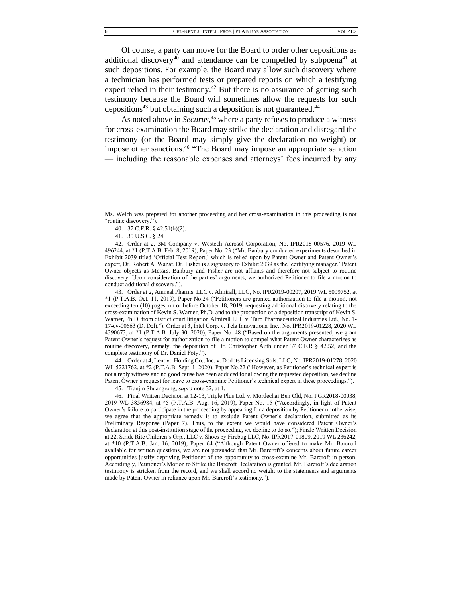Of course, a party can move for the Board to order other depositions as additional discovery<sup>40</sup> and attendance can be compelled by subpoena<sup>41</sup> at such depositions. For example, the Board may allow such discovery where a technician has performed tests or prepared reports on which a testifying expert relied in their testimony.<sup>42</sup> But there is no assurance of getting such testimony because the Board will sometimes allow the requests for such depositions<sup>43</sup> but obtaining such a deposition is not guaranteed.<sup>44</sup>

As noted above in *Securus,*<sup>45</sup> where a party refuses to produce a witness for cross-examination the Board may strike the declaration and disregard the testimony (or the Board may simply give the declaration no weight) or impose other sanctions.<sup>46</sup> "The Board may impose an appropriate sanction — including the reasonable expenses and attorneys' fees incurred by any

43. Order at 2, Amneal Pharms. LLC v. Almirall, LLC, No. IPR2019-00207, 2019 WL 5099752, at \*1 (P.T.A.B. Oct. 11, 2019), Paper No.24 ("Petitioners are granted authorization to file a motion, not exceeding ten (10) pages, on or before October 18, 2019, requesting additional discovery relating to the cross-examination of Kevin S. Warner, Ph.D. and to the production of a deposition transcript of Kevin S. Warner, Ph.D. from district court litigation Almirall LLC v. Taro Pharmaceutical Industries Ltd., No. 1- 17-cv-00663 (D. Del)."); Order at 3, Intel Corp. v. Tela Innovations, Inc., No. IPR2019-01228, 2020 WL 4390673, at \*1 (P.T.A.B. July 30, 2020), Paper No. 48 ("Based on the arguments presented, we grant Patent Owner's request for authorization to file a motion to compel what Patent Owner characterizes as routine discovery, namely, the deposition of Dr. Christopher Auth under 37 C.F.R § 42.52, and the complete testimony of Dr. Daniel Foty.").

44. Order at 4, Lenovo Holding Co., Inc. v. Dodots Licensing Sols. LLC, No. IPR2019-01278, 2020 WL 5221762, at \*2 (P.T.A.B. Sept. 1, 2020), Paper No.22 ("However, as Petitioner's technical expert is not a reply witness and no good cause has been adduced for allowing the requested deposition, we decline Patent Owner's request for leave to cross-examine Petitioner's technical expert in these proceedings.").

45. Tianjin Shuangrong, *supra* note [32,](#page-5-0) at 1.

46. Final Written Decision at 12-13, Triple Plus Ltd. v. Mordechai Ben Old, No. PGR2018-00038, 2019 WL 3856984, at \*5 (P.T.A.B. Aug. 16, 2019), Paper No. 15 ("Accordingly, in light of Patent Owner's failure to participate in the proceeding by appearing for a deposition by Petitioner or otherwise, we agree that the appropriate remedy is to exclude Patent Owner's declaration, submitted as its Preliminary Response (Paper 7). Thus, to the extent we would have considered Patent Owner's declaration at this post-institution stage of the proceeding, we decline to do so."); Finale Written Decision at 22, Stride Rite Children's Grp., LLC v. Shoes by Firebug LLC, No. IPR2017-01809, 2019 WL 236242, at \*10 (P.T.A.B. Jan. 16, 2019), Paper 64 ("Although Patent Owner offered to make Mr. Barcroft available for written questions, we are not persuaded that Mr. Barcroft's concerns about future career opportunities justify depriving Petitioner of the opportunity to cross-examine Mr. Barcroft in person. Accordingly, Petitioner's Motion to Strike the Barcroft Declaration is granted. Mr. Barcroft's declaration testimony is stricken from the record, and we shall accord no weight to the statements and arguments made by Patent Owner in reliance upon Mr. Barcroft's testimony.").

Ms. Welch was prepared for another proceeding and her cross-examination in this proceeding is not "routine discovery.").

<sup>40.</sup> 37 C.F.R. § 42.51(b)(2).

<sup>41.</sup> 35 U.S.C. § 24.

<sup>42.</sup> Order at 2, 3M Company v. Westech Aerosol Corporation, No. IPR2018-00576, 2019 WL 496244, at \*1 (P.T.A.B. Feb. 8, 2019), Paper No. 23 ("Mr. Banbury conducted experiments described in Exhibit 2039 titled 'Official Test Report,' which is relied upon by Patent Owner and Patent Owner's expert, Dr. Robert A. Wanat. Dr. Fisher is a signatory to Exhibit 2039 as the 'certifying manager.' Patent Owner objects as Messrs. Banbury and Fisher are not affiants and therefore not subject to routine discovery. Upon consideration of the parties' arguments, we authorized Petitioner to file a motion to conduct additional discovery.").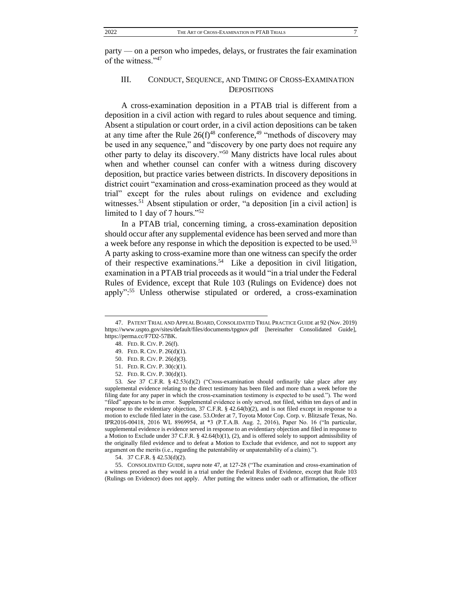party — on a person who impedes, delays, or frustrates the fair examination of the witness."<sup>47</sup>

### <span id="page-7-0"></span>III. CONDUCT, SEQUENCE, AND TIMING OF CROSS-EXAMINATION **DEPOSITIONS**

A cross-examination deposition in a PTAB trial is different from a deposition in a civil action with regard to rules about sequence and timing. Absent a stipulation or court order, in a civil action depositions can be taken at any time after the Rule  $26(f)^{48}$  conference,<sup>49</sup> "methods of discovery may be used in any sequence," and "discovery by one party does not require any other party to delay its discovery."<sup>50</sup> Many districts have local rules about when and whether counsel can confer with a witness during discovery deposition, but practice varies between districts. In discovery depositions in district couirt "examination and cross-examination proceed as they would at trial" except for the rules about rulings on evidence and excluding witnesses.<sup>51</sup> Absent stipulation or order, "a deposition [in a civil action] is limited to 1 day of 7 hours."<sup>52</sup>

In a PTAB trial, concerning timing, a cross-examination deposition should occur after any supplemental evidence has been served and more than a week before any response in which the deposition is expected to be used.<sup>53</sup> A party asking to cross-examine more than one witness can specify the order of their respective examinations.<sup>54</sup> Like a deposition in civil litigation, examination in a PTAB trial proceeds as it would "in a trial under the Federal Rules of Evidence, except that Rule 103 (Rulings on Evidence) does not apply":<sup>55</sup> Unless otherwise stipulated or ordered, a cross-examination

<sup>47.</sup> PATENT TRIAL AND APPEAL BOARD, CONSOLIDATED TRIAL PRACTICE GUIDE at 92 (Nov. 2019) https://www.uspto.gov/sites/default/files/documents/tpgnov.pdf [hereinafter Consolidated Guide], https://perma.cc/F7D2-57BK.

<sup>48.</sup> FED. R. CIV. P. 26(f).

<sup>49.</sup> FED. R. CIV. P. 26(d)(1).

<sup>50.</sup> FED. R. CIV. P. 26(d)(3).

<sup>51.</sup> FED. R. CIV. P. 30(c)(1).

<sup>52.</sup> FED. R. CIV. P. 30(d)(1).

<sup>53</sup>*. See* 37 C.F.R. § 42.53(d)(2) ("Cross-examination should ordinarily take place after any supplemental evidence relating to the direct testimony has been filed and more than a week before the filing date for any paper in which the cross-examination testimony is expected to be used."). The word "filed" appears to be in error. Supplemental evidence is only served, not filed, within ten days of and in response to the evidentiary objection, 37 C.F.R. § 42.64(b)(2), and is not filed except in response to a motion to exclude filed later in the case. 53.Order at 7, Toyota Motor Cop. Corp. v. Blitzsafe Texas, No. IPR2016-00418, 2016 WL 8969954, at \*3 (P.T.A.B. Aug. 2, 2016), Paper No. 16 ("In particular, supplemental evidence is evidence served in response to an evidentiary objection and filed in response to a Motion to Exclude under 37 C.F.R. § 42.64(b)(1), (2), and is offered solely to support admissibility of the originally filed evidence and to defeat a Motion to Exclude that evidence, and not to support any argument on the merits (i.e., regarding the patentability or unpatentability of a claim).").

<sup>54.</sup> 37 C.F.R. § 42.53(d)(2).

<sup>55.</sup> CONSOLIDATED GUIDE*, supra* not[e 47,](#page-7-0) at 127-28 ("The examination and cross-examination of a witness proceed as they would in a trial under the Federal Rules of Evidence, except that Rule 103 (Rulings on Evidence) does not apply. After putting the witness under oath or affirmation, the officer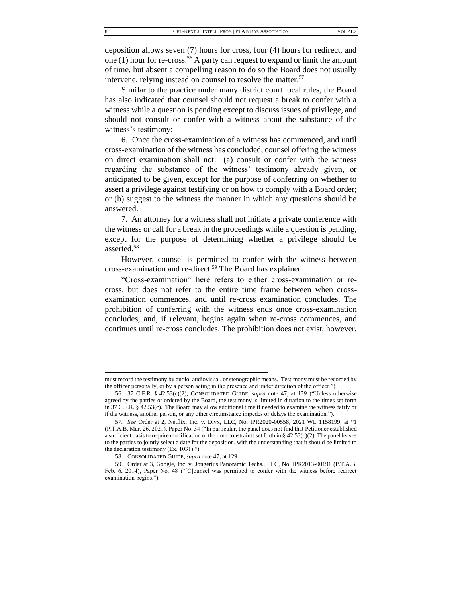deposition allows seven (7) hours for cross, four (4) hours for redirect, and one (1) hour for re-cross.<sup>56</sup> A party can request to expand or limit the amount of time, but absent a compelling reason to do so the Board does not usually intervene, relying instead on counsel to resolve the matter.<sup>57</sup>

Similar to the practice under many district court local rules, the Board has also indicated that counsel should not request a break to confer with a witness while a question is pending except to discuss issues of privilege, and should not consult or confer with a witness about the substance of the witness's testimony:

6. Once the cross-examination of a witness has commenced, and until cross-examination of the witness has concluded, counsel offering the witness on direct examination shall not: (a) consult or confer with the witness regarding the substance of the witness' testimony already given, or anticipated to be given, except for the purpose of conferring on whether to assert a privilege against testifying or on how to comply with a Board order; or (b) suggest to the witness the manner in which any questions should be answered.

7. An attorney for a witness shall not initiate a private conference with the witness or call for a break in the proceedings while a question is pending, except for the purpose of determining whether a privilege should be asserted.<sup>58</sup>

However, counsel is permitted to confer with the witness between cross-examination and re-direct.<sup>59</sup> The Board has explained:

"Cross-examination" here refers to either cross-examination or recross, but does not refer to the entire time frame between when crossexamination commences, and until re-cross examination concludes. The prohibition of conferring with the witness ends once cross-examination concludes, and, if relevant, begins again when re-cross commences, and continues until re-cross concludes. The prohibition does not exist, however,

must record the testimony by audio, audiovisual, or stenographic means. Testimony must be recorded by the officer personally, or by a person acting in the presence and under direction of the officer.").

<sup>56.</sup> 37 C.F.R. § 42.53(c)(2); CONSOLIDATED GUIDE*, supra* note [47,](#page-7-0) at 129 ("Unless otherwise agreed by the parties or ordered by the Board, the testimony is limited in duration to the times set forth in 37 C.F.R. § 42.53(c). The Board may allow additional time if needed to examine the witness fairly or if the witness, another person, or any other circumstance impedes or delays the examination.").

<sup>57</sup>*. See* Order at 2, Netflix, Inc. v. Divx, LLC, No. IPR2020-00558, 2021 WL 1158199, at \*1 (P.T.A.B. Mar. 26, 2021), Paper No. 34 ("In particular, the panel does not find that Petitioner established a sufficient basis to require modification of the time constraints set forth in §  $42.53(c)(2)$ . The panel leaves to the parties to jointly select a date for the deposition, with the understanding that it should be limited to the declaration testimony (Ex. 1031).").

<sup>58.</sup> CONSOLIDATED GUIDE*, supra* not[e 47,](#page-7-0) at 129.

<sup>59.</sup> Order at 3, Google, Inc. v. Jongerius Panoramic Techs., LLC, No. IPR2013-00191 (P.T.A.B. Feb. 6, 2014), Paper No. 48 ("[C]ounsel was permitted to confer with the witness before redirect examination begins.").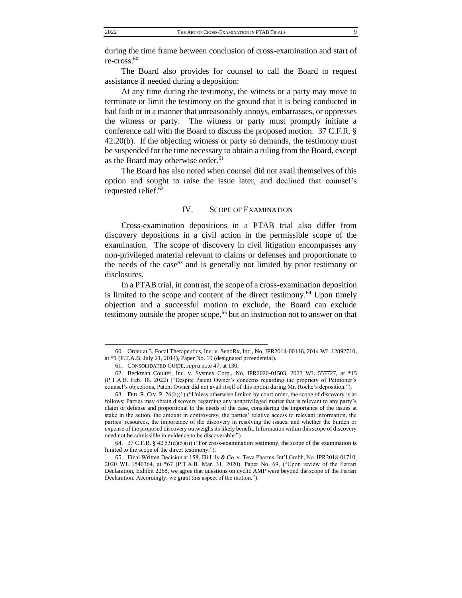during the time frame between conclusion of cross-examination and start of re-cross.<sup>60</sup>

The Board also provides for counsel to call the Board to request assistance if needed during a deposition:

At any time during the testimony, the witness or a party may move to terminate or limit the testimony on the ground that it is being conducted in bad faith or in a manner that unreasonably annoys, embarrasses, or oppresses the witness or party. The witness or party must promptly initiate a conference call with the Board to discuss the proposed motion. 37 C.F.R. § 42.20(b). If the objecting witness or party so demands, the testimony must be suspended for the time necessary to obtain a ruling from the Board, except as the Board may otherwise order.<sup>61</sup>

The Board has also noted when counsel did not avail themselves of this option and sought to raise the issue later, and declined that counsel's requested relief.<sup>62</sup>

#### IV. SCOPE OF EXAMINATION

Cross-examination depositions in a PTAB trial also differ from discovery depositions in a civil action in the permissible scope of the examination. The scope of discovery in civil litigation encompasses any non-privileged material relevant to claims or defenses and proportionate to the needs of the case<sup>63</sup> and is generally not limited by prior testimony or disclosures.

In a PTAB trial, in contrast, the scope of a cross-examination deposition is limited to the scope and content of the direct testimony.<sup>64</sup> Upon timely objection and a successful motion to exclude, the Board can exclude testimony outside the proper scope, $65$  but an instruction not to answer on that

64. 37 C.F.R. § 42.53(d)(5)(ii) ("For cross-examination testimony, the scope of the examination is limited to the scope of the direct testimony.").

<sup>60.</sup> Order at 3, Focal Therapeutics, Inc. v. SenoRx, Inc., No. IPR2014-00116, 2014 WL 12892710, at \*1 (P.T.A.B. July 21, 2014), Paper No. 19 (designated prceedential).

<sup>61.</sup> CONSOLIDATED GUIDE*, supra* not[e 47,](#page-7-0) at 130.

<sup>62.</sup> Beckman Coulter, Inc. v. Sysmex Corp., No. IPR2020-01503, 2022 WL 557727, at \*15 (P.T.A.B. Feb. 18, 2022) ("Despite Patent Owner's concerns regarding the propriety of Petitioner's counsel's objections, Patent Owner did not avail itself of this option during Mr. Roche's deposition.").

<sup>63.</sup> FED. R. CIV. P. 26(b)(1) ("Unless otherwise limited by court order, the scope of discovery is as follows: Parties may obtain discovery regarding any nonprivileged matter that is relevant to any party's claim or defense and proportional to the needs of the case, considering the importance of the issues at stake in the action, the amount in controversy, the parties' relative access to relevant information, the parties' resources, the importance of the discovery in resolving the issues, and whether the burden or expense of the proposed discovery outweighs its likely benefit. Information within this scope of discovery need not be admissible in evidence to be discoverable.").

<sup>65.</sup> Final Written Decision at 158, Eli Lily & Co. v. Teva Pharms. Int'l Gmbh, No. IPR2018-01710, 2020 WL 1540364, at \*67 (P.T.A.B. Mar. 31, 2020), Paper No. 69, ("Upon review of the Ferrari Declaration, Exhibit 2268, we agree that questions on cyclic AMP were beyond the scope of the Ferrari Declaration. Accordingly, we grant this aspect of the motion.").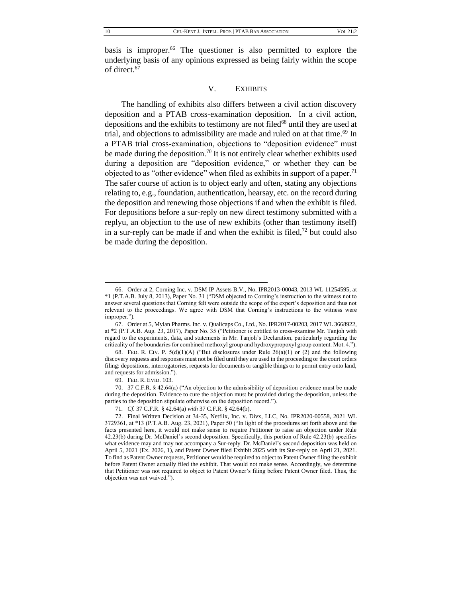basis is improper.<sup>66</sup> The questioner is also permitted to explore the underlying basis of any opinions expressed as being fairly within the scope of direct.<sup>67</sup>

#### V. EXHIBITS

The handling of exhibits also differs between a civil action discovery deposition and a PTAB cross-examination deposition. In a civil action, depositions and the exhibits to testimony are not filed<sup>68</sup> until they are used at trial, and objections to admissibility are made and ruled on at that time.<sup>69</sup> In a PTAB trial cross-examination, objections to "deposition evidence" must be made during the deposition.<sup>70</sup> It is not entirely clear whether exhibits used during a deposition are "deposition evidence," or whether they can be objected to as "other evidence" when filed as exhibits in support of a paper.<sup>71</sup> The safer course of action is to object early and often, stating any objections relating to, e.g., foundation, authentication, hearsay, etc. on the record during the deposition and renewing those objections if and when the exhibit is filed. For depositions before a sur-reply on new direct testimony submitted with a replyu, an objection to the use of new exhibits (other than testimony itself) in a sur-reply can be made if and when the exhibit is filed, $72$  but could also be made during the deposition.

<sup>66.</sup> Order at 2, Corning Inc. v. DSM IP Assets B.V., No. IPR2013-00043, 2013 WL 11254595, at \*1 (P.T.A.B. July 8, 2013), Paper No. 31 ("DSM objected to Corning's instruction to the witness not to answer several questions that Corning felt were outside the scope of the expert's deposition and thus not relevant to the proceedings. We agree with DSM that Corning's instructions to the witness were improper.").

<sup>67.</sup> Order at 5, Mylan Pharms. Inc. v. Qualicaps Co., Ltd., No. IPR2017-00203, 2017 WL 3668922, at \*2 (P.T.A.B. Aug. 23, 2017), Paper No. 35 ("Petitioner is entitled to cross-examine Mr. Tanjoh with regard to the experiments, data, and statements in Mr. Tanjoh's Declaration, particularly regarding the criticality of the boundaries for combined methoxyl group and hydroxypropoxyl group content. Mot. 4.").

<sup>68.</sup> FED. R. CIV. P.  $5(d)(1)(A)$  ("But disclosures under Rule  $26(a)(1)$  or (2) and the following discovery requests and responses must not be filed until they are used in the proceeding or the court orders filing: depositions, interrogatories, requests for documents or tangible things or to permit entry onto land, and requests for admission.").

<sup>69.</sup> FED. R. EVID. 103.

<sup>70.</sup> 37 C.F.R. § 42.64(a) ("An objection to the admissibility of deposition evidence must be made during the deposition. Evidence to cure the objection must be provided during the deposition, unless the parties to the deposition stipulate otherwise on the deposition record.").

<sup>71</sup>*. Cf.* 37 C.F.R. § 42.64(a) *with* 37 C.F.R. § 42.64(b).

<sup>72.</sup> Final Written Decision at 34-35, Netflix, Inc. v. Divx, LLC, No. IPR2020-00558, 2021 WL 3729361, at \*13 (P.T.A.B. Aug. 23, 2021), Paper 50 ("In light of the procedures set forth above and the facts presented here, it would not make sense to require Petitioner to raise an objection under Rule 42.23(b) during Dr. McDaniel's second deposition. Specifically, this portion of Rule 42.23(b) specifies what evidence may and may not accompany a Sur-reply. Dr. McDaniel's second deposition was held on April 5, 2021 (Ex. 2026, 1), and Patent Owner filed Exhibit 2025 with its Sur-reply on April 21, 2021. To find as Patent Owner requests, Petitioner would be required to object to Patent Owner filing the exhibit before Patent Owner actually filed the exhibit. That would not make sense. Accordingly, we determine that Petitioner was not required to object to Patent Owner's filing before Patent Owner filed. Thus, the objection was not waived.").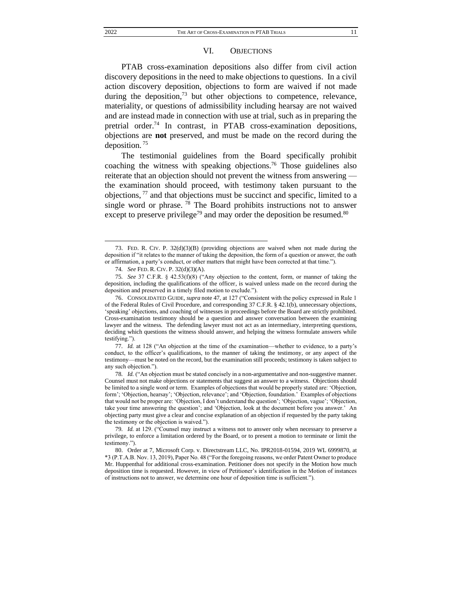#### VI. OBJECTIONS

PTAB cross-examination depositions also differ from civil action discovery depositions in the need to make objections to questions. In a civil action discovery deposition, objections to form are waived if not made during the deposition, $^{73}$  but other objections to competence, relevance, materiality, or questions of admissibility including hearsay are not waived and are instead made in connection with use at trial, such as in preparing the pretrial order.<sup>74</sup> In contrast, in PTAB cross-examination depositions, objections are **not** preserved, and must be made on the record during the deposition. <sup>75</sup>

The testimonial guidelines from the Board specifically prohibit coaching the witness with speaking objections.<sup>76</sup> Those guidelines also reiterate that an objection should not prevent the witness from answering the examination should proceed, with testimony taken pursuant to the objections, <sup>77</sup> and that objections must be succinct and specific, limited to a single word or phrase.<sup>78</sup> The Board prohibits instructions not to answer except to preserve privilege<sup>79</sup> and may order the deposition be resumed.<sup>80</sup>

<sup>73.</sup> FED. R. CIV. P. 32(d)(3)(B) (providing objections are waived when not made during the deposition if "it relates to the manner of taking the deposition, the form of a question or answer, the oath or affirmation, a party's conduct, or other matters that might have been corrected at that time.").

<sup>74</sup>*. See* FED. R. CIV. P. 32(d)(3)(A).

<sup>75</sup>*. See* 37 C.F.R. § 42.53(f)(8) ("Any objection to the content, form, or manner of taking the deposition, including the qualifications of the officer, is waived unless made on the record during the deposition and preserved in a timely filed motion to exclude.").

<sup>76.</sup> CONSOLIDATED GUIDE*, supra* not[e 47,](#page-7-0) at 127 ("Consistent with the policy expressed in Rule 1 of the Federal Rules of Civil Procedure, and corresponding 37 C.F.R. § 42.1(b), unnecessary objections, 'speaking' objections, and coaching of witnesses in proceedings before the Board are strictly prohibited. Cross-examination testimony should be a question and answer conversation between the examining lawyer and the witness. The defending lawyer must not act as an intermediary, interpreting questions, deciding which questions the witness should answer, and helping the witness formulate answers while testifying.").

<sup>77</sup>*. Id.* at 128 ("An objection at the time of the examination—whether to evidence, to a party's conduct, to the officer's qualifications, to the manner of taking the testimony, or any aspect of the testimony—must be noted on the record, but the examination still proceeds; testimony is taken subject to any such objection.").

<sup>78</sup>*. Id.* ("An objection must be stated concisely in a non-argumentative and non-suggestive manner. Counsel must not make objections or statements that suggest an answer to a witness. Objections should be limited to a single word or term. Examples of objections that would be properly stated are: 'Objection, form'; 'Objection, hearsay'; 'Objection, relevance'; and 'Objection, foundation.' Examples of objections that would not be proper are: 'Objection, I don't understand the question'; 'Objection, vague'; 'Objection, take your time answering the question'; and 'Objection, look at the document before you answer.' An objecting party must give a clear and concise explanation of an objection if requested by the party taking the testimony or the objection is waived.").

<sup>79</sup>*. Id.* at 129. ("Counsel may instruct a witness not to answer only when necessary to preserve a privilege, to enforce a limitation ordered by the Board, or to present a motion to terminate or limit the testimony.").

<sup>80.</sup> Order at 7, Microsoft Corp. v. Directstream LLC, No. IPR2018-01594, 2019 WL 6999870, at \*3 (P.T.A.B. Nov. 13, 2019), Paper No. 48 ("For the foregoing reasons, we order Patent Owner to produce Mr. Huppenthal for additional cross-examination. Petitioner does not specify in the Motion how much deposition time is requested. However, in view of Petitioner's identification in the Motion of instances of instructions not to answer, we determine one hour of deposition time is sufficient.").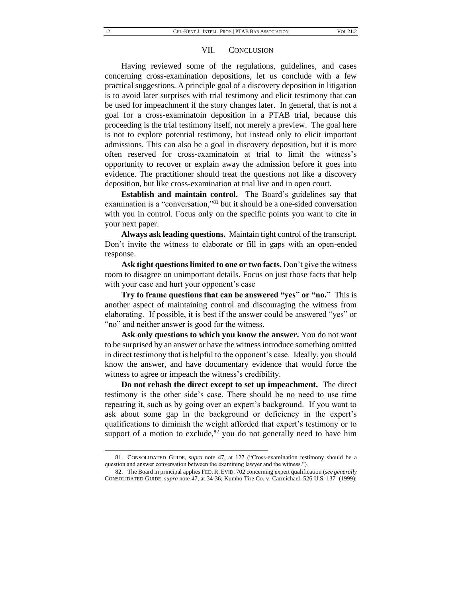#### VII. CONCLUSION

Having reviewed some of the regulations, guidelines, and cases concerning cross-examination depositions, let us conclude with a few practical suggestions. A principle goal of a discovery deposition in litigation is to avoid later surprises with trial testimony and elicit testimony that can be used for impeachment if the story changes later. In general, that is not a goal for a cross-examinatoin deposition in a PTAB trial, because this proceeding is the trial testimony itself, not merely a preview. The goal here is not to explore potential testimony, but instead only to elicit important admissions. This can also be a goal in discovery deposition, but it is more often reserved for cross-examinatoin at trial to limit the witness's opportunity to recover or explain away the admission before it goes into evidence. The practitioner should treat the questions not like a discovery deposition, but like cross-examination at trial live and in open court.

**Establish and maintain control.** The Board's guidelines say that examination is a "conversation,"<sup>81</sup> but it should be a one-sided conversation with you in control. Focus only on the specific points you want to cite in your next paper.

**Always ask leading questions.** Maintain tight control of the transcript. Don't invite the witness to elaborate or fill in gaps with an open-ended response.

**Ask tight questions limited to one or two facts.** Don't give the witness room to disagree on unimportant details. Focus on just those facts that help with your case and hurt your opponent's case

**Try to frame questions that can be answered "yes" or "no."** This is another aspect of maintaining control and discouraging the witness from elaborating. If possible, it is best if the answer could be answered "yes" or "no" and neither answer is good for the witness.

**Ask only questions to which you know the answer.** You do not want to be surprised by an answer or have the witness introduce something omitted in direct testimony that is helpful to the opponent's case. Ideally, you should know the answer, and have documentary evidence that would force the witness to agree or impeach the witness's credibility.

**Do not rehash the direct except to set up impeachment.** The direct testimony is the other side's case. There should be no need to use time repeating it, such as by going over an expert's background. If you want to ask about some gap in the background or deficiency in the expert's qualifications to diminish the weight afforded that expert's testimony or to support of a motion to exclude, $82$  you do not generally need to have him

<sup>81.</sup> CONSOLIDATED GUIDE*, supra* note [47,](#page-7-0) at 127 ("Cross-examination testimony should be a question and answer conversation between the examining lawyer and the witness.").

<sup>82.</sup> The Board in principal applies FED. R. EVID. 702 concerning expert qualification (*see generally* CONSOLIDATED GUIDE*, supra* not[e 47,](#page-7-0) at 34-36; Kumho Tire Co. v. Carmichael, 526 U.S. 137 (1999);